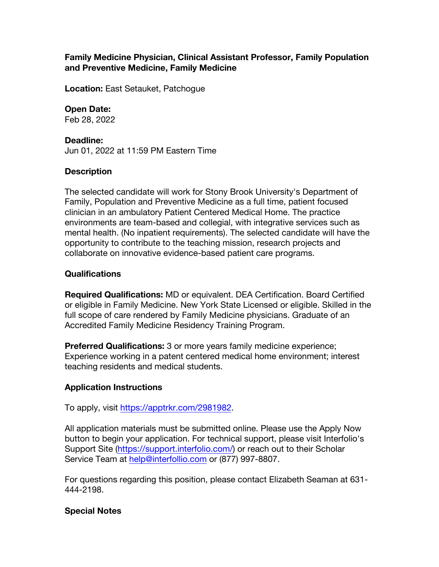# **Family Medicine Physician, Clinical Assistant Professor, Family Population and Preventive Medicine, Family Medicine**

**Location:** East Setauket, Patchogue

### **Open Date:**

Feb 28, 2022

#### **Deadline:**

Jun 01, 2022 at 11:59 PM Eastern Time

#### **Description**

The selected candidate will work for Stony Brook University's Department of Family, Population and Preventive Medicine as a full time, patient focused clinician in an ambulatory Patient Centered Medical Home. The practice environments are team-based and collegial, with integrative services such as mental health. (No inpatient requirements). The selected candidate will have the opportunity to contribute to the teaching mission, research projects and collaborate on innovative evidence-based patient care programs.

## **Qualifications**

**Required Qualifications:** MD or equivalent. DEA Certification. Board Certified or eligible in Family Medicine. New York State Licensed or eligible. Skilled in the full scope of care rendered by Family Medicine physicians. Graduate of an Accredited Family Medicine Residency Training Program.

**Preferred Qualifications:** 3 or more years family medicine experience; Experience working in a patent centered medical home environment; interest teaching residents and medical students.

# **Application Instructions**

To apply, visit https://apptrkr.com/2981982.

All application materials must be submitted online. Please use the Apply Now button to begin your application. For technical support, please visit Interfolio's Support Site (https://support.interfolio.com/) or reach out to their Scholar Service Team at help@interfollio.com or (877) 997-8807.

For questions regarding this position, please contact Elizabeth Seaman at 631- 444-2198.

#### **Special Notes**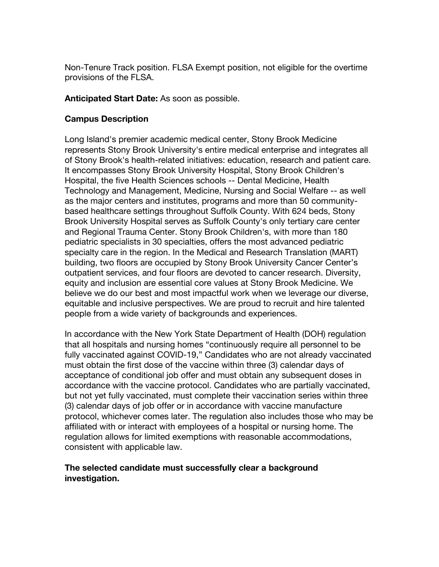Non-Tenure Track position. FLSA Exempt position, not eligible for the overtime provisions of the FLSA.

**Anticipated Start Date:** As soon as possible.

# **Campus Description**

Long Island's premier academic medical center, Stony Brook Medicine represents Stony Brook University's entire medical enterprise and integrates all of Stony Brook's health-related initiatives: education, research and patient care. It encompasses Stony Brook University Hospital, Stony Brook Children's Hospital, the five Health Sciences schools -- Dental Medicine, Health Technology and Management, Medicine, Nursing and Social Welfare -- as well as the major centers and institutes, programs and more than 50 communitybased healthcare settings throughout Suffolk County. With 624 beds, Stony Brook University Hospital serves as Suffolk County's only tertiary care center and Regional Trauma Center. Stony Brook Children's, with more than 180 pediatric specialists in 30 specialties, offers the most advanced pediatric specialty care in the region. In the Medical and Research Translation (MART) building, two floors are occupied by Stony Brook University Cancer Center's outpatient services, and four floors are devoted to cancer research. Diversity, equity and inclusion are essential core values at Stony Brook Medicine. We believe we do our best and most impactful work when we leverage our diverse, equitable and inclusive perspectives. We are proud to recruit and hire talented people from a wide variety of backgrounds and experiences.

In accordance with the New York State Department of Health (DOH) regulation that all hospitals and nursing homes "continuously require all personnel to be fully vaccinated against COVID-19," Candidates who are not already vaccinated must obtain the first dose of the vaccine within three (3) calendar days of acceptance of conditional job offer and must obtain any subsequent doses in accordance with the vaccine protocol. Candidates who are partially vaccinated, but not yet fully vaccinated, must complete their vaccination series within three (3) calendar days of job offer or in accordance with vaccine manufacture protocol, whichever comes later. The regulation also includes those who may be affiliated with or interact with employees of a hospital or nursing home. The regulation allows for limited exemptions with reasonable accommodations, consistent with applicable law.

## **The selected candidate must successfully clear a background investigation.**